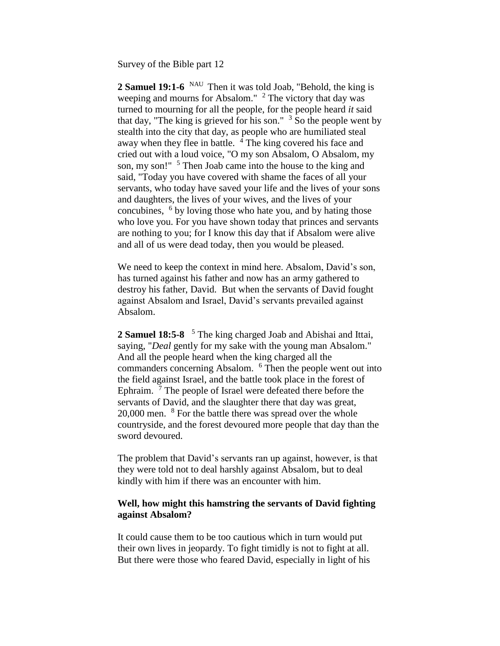Survey of the Bible part 12

2 **Samuel 19:1-6** <sup>NAU</sup> Then it was told Joab, "Behold, the king is weeping and mourns for Absalom."  $2$  The victory that day was turned to mourning for all the people, for the people heard *it* said that day, "The king is grieved for his son."  $3\overline{S}$  So the people went by stealth into the city that day, as people who are humiliated steal away when they flee in battle.  $\frac{4}{3}$  The king covered his face and cried out with a loud voice, "O my son Absalom, O Absalom, my son, my son!" <sup>5</sup> Then Joab came into the house to the king and said, "Today you have covered with shame the faces of all your servants, who today have saved your life and the lives of your sons and daughters, the lives of your wives, and the lives of your concubines, <sup>6</sup> by loving those who hate you, and by hating those who love you. For you have shown today that princes and servants are nothing to you; for I know this day that if Absalom were alive and all of us were dead today, then you would be pleased.

We need to keep the context in mind here. Absalom, David's son, has turned against his father and now has an army gathered to destroy his father, David. But when the servants of David fought against Absalom and Israel, David's servants prevailed against Absalom.

**2 Samuel 18:5-8**  <sup>5</sup> The king charged Joab and Abishai and Ittai, saying, "*Deal* gently for my sake with the young man Absalom." And all the people heard when the king charged all the commanders concerning Absalom. <sup>6</sup> Then the people went out into the field against Israel, and the battle took place in the forest of Ephraim.<sup>7</sup> The people of Israel were defeated there before the servants of David, and the slaughter there that day was great, 20,000 men. <sup>8</sup> For the battle there was spread over the whole countryside, and the forest devoured more people that day than the sword devoured.

The problem that David's servants ran up against, however, is that they were told not to deal harshly against Absalom, but to deal kindly with him if there was an encounter with him.

## **Well, how might this hamstring the servants of David fighting against Absalom?**

It could cause them to be too cautious which in turn would put their own lives in jeopardy. To fight timidly is not to fight at all. But there were those who feared David, especially in light of his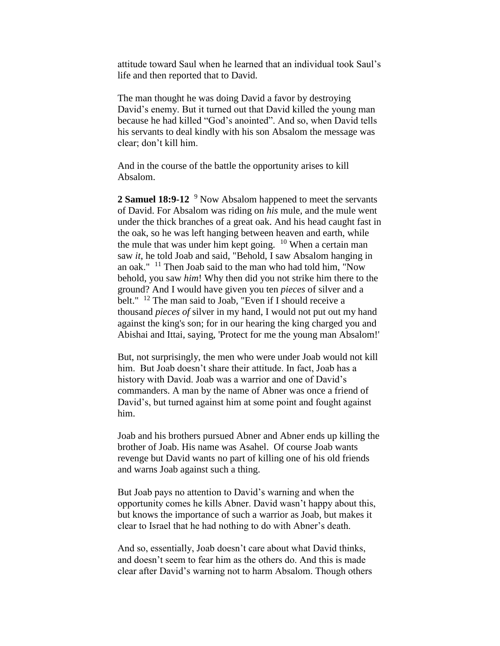attitude toward Saul when he learned that an individual took Saul's life and then reported that to David.

The man thought he was doing David a favor by destroying David's enemy. But it turned out that David killed the young man because he had killed "God's anointed". And so, when David tells his servants to deal kindly with his son Absalom the message was clear; don't kill him.

And in the course of the battle the opportunity arises to kill Absalom.

2 **Samuel 18:9-12** <sup>9</sup> Now Absalom happened to meet the servants of David. For Absalom was riding on *his* mule, and the mule went under the thick branches of a great oak. And his head caught fast in the oak, so he was left hanging between heaven and earth, while the mule that was under him kept going.  $10$  When a certain man saw *it*, he told Joab and said, "Behold, I saw Absalom hanging in an oak." <sup>11</sup> Then Joab said to the man who had told him, "Now behold, you saw *him*! Why then did you not strike him there to the ground? And I would have given you ten *pieces* of silver and a belt." <sup>12</sup> The man said to Joab, "Even if I should receive a thousand *pieces of* silver in my hand, I would not put out my hand against the king's son; for in our hearing the king charged you and Abishai and Ittai, saying, 'Protect for me the young man Absalom!'

But, not surprisingly, the men who were under Joab would not kill him. But Joab doesn't share their attitude. In fact, Joab has a history with David. Joab was a warrior and one of David's commanders. A man by the name of Abner was once a friend of David's, but turned against him at some point and fought against him.

Joab and his brothers pursued Abner and Abner ends up killing the brother of Joab. His name was Asahel. Of course Joab wants revenge but David wants no part of killing one of his old friends and warns Joab against such a thing.

But Joab pays no attention to David's warning and when the opportunity comes he kills Abner. David wasn't happy about this, but knows the importance of such a warrior as Joab, but makes it clear to Israel that he had nothing to do with Abner's death.

And so, essentially, Joab doesn't care about what David thinks, and doesn't seem to fear him as the others do. And this is made clear after David's warning not to harm Absalom. Though others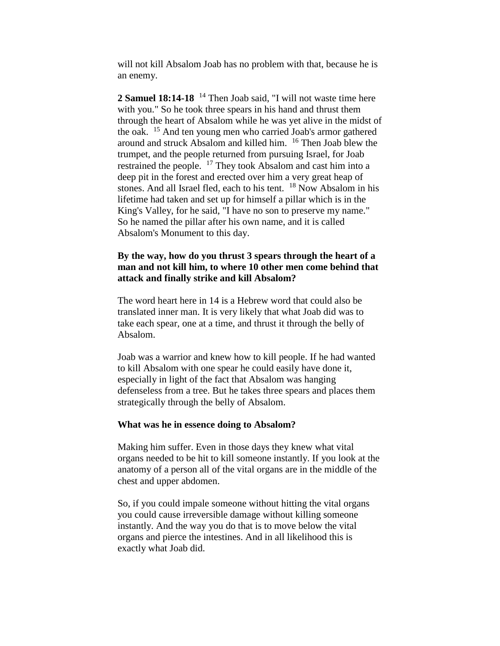will not kill Absalom Joab has no problem with that, because he is an enemy.

**2 Samuel 18:14-18** <sup>14</sup> Then Joab said, "I will not waste time here with you." So he took three spears in his hand and thrust them through the heart of Absalom while he was yet alive in the midst of the oak. <sup>15</sup> And ten young men who carried Joab's armor gathered around and struck Absalom and killed him. <sup>16</sup> Then Joab blew the trumpet, and the people returned from pursuing Israel, for Joab restrained the people. <sup>17</sup> They took Absalom and cast him into a deep pit in the forest and erected over him a very great heap of stones. And all Israel fled, each to his tent.  $18$  Now Absalom in his lifetime had taken and set up for himself a pillar which is in the King's Valley, for he said, "I have no son to preserve my name." So he named the pillar after his own name, and it is called Absalom's Monument to this day.

## **By the way, how do you thrust 3 spears through the heart of a man and not kill him, to where 10 other men come behind that attack and finally strike and kill Absalom?**

The word heart here in 14 is a Hebrew word that could also be translated inner man. It is very likely that what Joab did was to take each spear, one at a time, and thrust it through the belly of Absalom.

Joab was a warrior and knew how to kill people. If he had wanted to kill Absalom with one spear he could easily have done it, especially in light of the fact that Absalom was hanging defenseless from a tree. But he takes three spears and places them strategically through the belly of Absalom.

## **What was he in essence doing to Absalom?**

Making him suffer. Even in those days they knew what vital organs needed to be hit to kill someone instantly. If you look at the anatomy of a person all of the vital organs are in the middle of the chest and upper abdomen.

So, if you could impale someone without hitting the vital organs you could cause irreversible damage without killing someone instantly. And the way you do that is to move below the vital organs and pierce the intestines. And in all likelihood this is exactly what Joab did.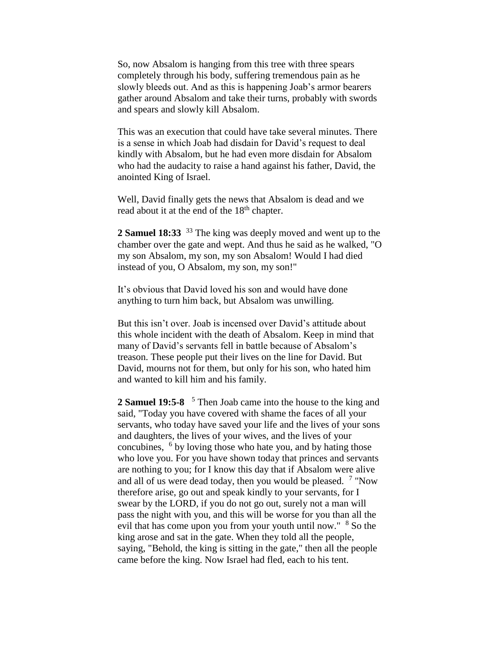So, now Absalom is hanging from this tree with three spears completely through his body, suffering tremendous pain as he slowly bleeds out. And as this is happening Joab's armor bearers gather around Absalom and take their turns, probably with swords and spears and slowly kill Absalom.

This was an execution that could have take several minutes. There is a sense in which Joab had disdain for David's request to deal kindly with Absalom, but he had even more disdain for Absalom who had the audacity to raise a hand against his father, David, the anointed King of Israel.

Well, David finally gets the news that Absalom is dead and we read about it at the end of the 18<sup>th</sup> chapter.

**2 Samuel 18:33** <sup>33</sup> The king was deeply moved and went up to the chamber over the gate and wept. And thus he said as he walked, "O my son Absalom, my son, my son Absalom! Would I had died instead of you, O Absalom, my son, my son!"

It's obvious that David loved his son and would have done anything to turn him back, but Absalom was unwilling.

But this isn't over. Joab is incensed over David's attitude about this whole incident with the death of Absalom. Keep in mind that many of David's servants fell in battle because of Absalom's treason. These people put their lives on the line for David. But David, mourns not for them, but only for his son, who hated him and wanted to kill him and his family.

**2 Samuel 19:5-8**  <sup>5</sup> Then Joab came into the house to the king and said, "Today you have covered with shame the faces of all your servants, who today have saved your life and the lives of your sons and daughters, the lives of your wives, and the lives of your concubines, <sup>6</sup> by loving those who hate you, and by hating those who love you. For you have shown today that princes and servants are nothing to you; for I know this day that if Absalom were alive and all of us were dead today, then you would be pleased. <sup>7</sup> "Now therefore arise, go out and speak kindly to your servants, for I swear by the LORD, if you do not go out, surely not a man will pass the night with you, and this will be worse for you than all the evil that has come upon you from your youth until now." <sup>8</sup> So the king arose and sat in the gate. When they told all the people, saying, "Behold, the king is sitting in the gate," then all the people came before the king. Now Israel had fled, each to his tent.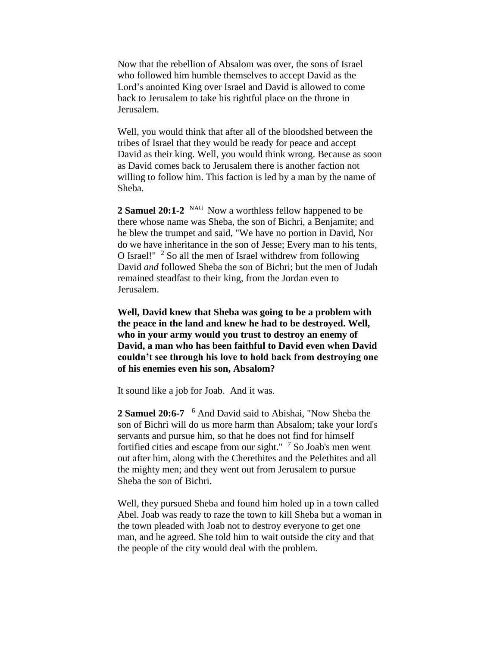Now that the rebellion of Absalom was over, the sons of Israel who followed him humble themselves to accept David as the Lord's anointed King over Israel and David is allowed to come back to Jerusalem to take his rightful place on the throne in Jerusalem.

Well, you would think that after all of the bloodshed between the tribes of Israel that they would be ready for peace and accept David as their king. Well, you would think wrong. Because as soon as David comes back to Jerusalem there is another faction not willing to follow him. This faction is led by a man by the name of Sheba.

2 Samuel 20:1-2 <sup>NAU</sup> Now a worthless fellow happened to be there whose name was Sheba, the son of Bichri, a Benjamite; and he blew the trumpet and said, "We have no portion in David, Nor do we have inheritance in the son of Jesse; Every man to his tents, O Israel!"  $2$  So all the men of Israel withdrew from following David *and* followed Sheba the son of Bichri; but the men of Judah remained steadfast to their king, from the Jordan even to Jerusalem.

**Well, David knew that Sheba was going to be a problem with the peace in the land and knew he had to be destroyed. Well, who in your army would you trust to destroy an enemy of David, a man who has been faithful to David even when David couldn't see through his love to hold back from destroying one of his enemies even his son, Absalom?**

It sound like a job for Joab. And it was.

**2 Samuel 20:6-7**  <sup>6</sup> And David said to Abishai, "Now Sheba the son of Bichri will do us more harm than Absalom; take your lord's servants and pursue him, so that he does not find for himself fortified cities and escape from our sight." <sup>7</sup> So Joab's men went out after him, along with the Cherethites and the Pelethites and all the mighty men; and they went out from Jerusalem to pursue Sheba the son of Bichri.

Well, they pursued Sheba and found him holed up in a town called Abel. Joab was ready to raze the town to kill Sheba but a woman in the town pleaded with Joab not to destroy everyone to get one man, and he agreed. She told him to wait outside the city and that the people of the city would deal with the problem.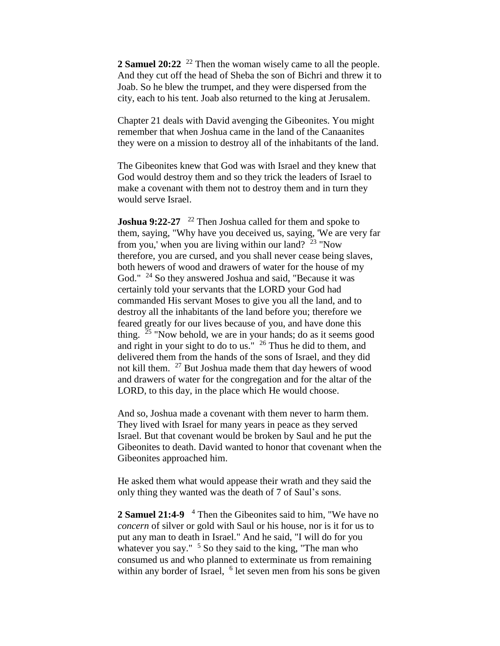**2 Samuel 20:22** <sup>22</sup> Then the woman wisely came to all the people. And they cut off the head of Sheba the son of Bichri and threw it to Joab. So he blew the trumpet, and they were dispersed from the city, each to his tent. Joab also returned to the king at Jerusalem.

Chapter 21 deals with David avenging the Gibeonites. You might remember that when Joshua came in the land of the Canaanites they were on a mission to destroy all of the inhabitants of the land.

The Gibeonites knew that God was with Israel and they knew that God would destroy them and so they trick the leaders of Israel to make a covenant with them not to destroy them and in turn they would serve Israel.

**Joshua 9:22-27** <sup>22</sup> Then Joshua called for them and spoke to them, saying, "Why have you deceived us, saying, 'We are very far from you,' when you are living within our land?  $23$  "Now therefore, you are cursed, and you shall never cease being slaves, both hewers of wood and drawers of water for the house of my God." <sup>24</sup> So they answered Joshua and said, "Because it was certainly told your servants that the LORD your God had commanded His servant Moses to give you all the land, and to destroy all the inhabitants of the land before you; therefore we feared greatly for our lives because of you, and have done this thing.  $25$  "Now behold, we are in your hands; do as it seems good and right in your sight to do to us." <sup>26</sup> Thus he did to them, and delivered them from the hands of the sons of Israel, and they did not kill them. <sup>27</sup> But Joshua made them that day hewers of wood and drawers of water for the congregation and for the altar of the LORD, to this day, in the place which He would choose.

And so, Joshua made a covenant with them never to harm them. They lived with Israel for many years in peace as they served Israel. But that covenant would be broken by Saul and he put the Gibeonites to death. David wanted to honor that covenant when the Gibeonites approached him.

He asked them what would appease their wrath and they said the only thing they wanted was the death of 7 of Saul's sons.

**2 Samuel 21:4-9**  <sup>4</sup> Then the Gibeonites said to him, "We have no *concern* of silver or gold with Saul or his house, nor is it for us to put any man to death in Israel." And he said, "I will do for you whatever you say."  $5$  So they said to the king, "The man who consumed us and who planned to exterminate us from remaining within any border of Israel, <sup>6</sup> let seven men from his sons be given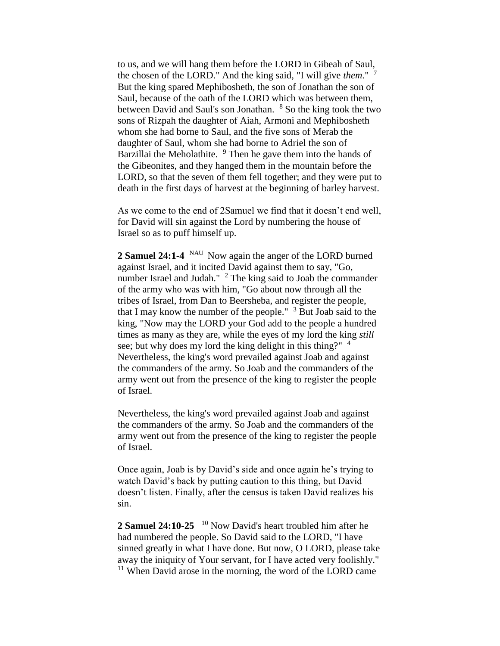to us, and we will hang them before the LORD in Gibeah of Saul, the chosen of the LORD." And the king said, "I will give *them*." <sup>7</sup> But the king spared Mephibosheth, the son of Jonathan the son of Saul, because of the oath of the LORD which was between them, between David and Saul's son Jonathan. <sup>8</sup> So the king took the two sons of Rizpah the daughter of Aiah, Armoni and Mephibosheth whom she had borne to Saul, and the five sons of Merab the daughter of Saul, whom she had borne to Adriel the son of Barzillai the Meholathite.  $9$  Then he gave them into the hands of the Gibeonites, and they hanged them in the mountain before the LORD, so that the seven of them fell together; and they were put to death in the first days of harvest at the beginning of barley harvest.

As we come to the end of 2Samuel we find that it doesn't end well, for David will sin against the Lord by numbering the house of Israel so as to puff himself up.

2 Samuel 24:1-4 <sup>NAU</sup> Now again the anger of the LORD burned against Israel, and it incited David against them to say, "Go, number Israel and Judah."  $2$  The king said to Joab the commander of the army who was with him, "Go about now through all the tribes of Israel, from Dan to Beersheba, and register the people, that I may know the number of the people."  $3$  But Joab said to the king, "Now may the LORD your God add to the people a hundred times as many as they are, while the eyes of my lord the king *still*  see; but why does my lord the king delight in this thing?"  $4$ Nevertheless, the king's word prevailed against Joab and against the commanders of the army. So Joab and the commanders of the army went out from the presence of the king to register the people of Israel.

Nevertheless, the king's word prevailed against Joab and against the commanders of the army. So Joab and the commanders of the army went out from the presence of the king to register the people of Israel.

Once again, Joab is by David's side and once again he's trying to watch David's back by putting caution to this thing, but David doesn't listen. Finally, after the census is taken David realizes his sin.

2 **Samuel 24:10-25** <sup>10</sup> Now David's heart troubled him after he had numbered the people. So David said to the LORD, "I have sinned greatly in what I have done. But now, O LORD, please take away the iniquity of Your servant, for I have acted very foolishly."  $11$  When David arose in the morning, the word of the LORD came